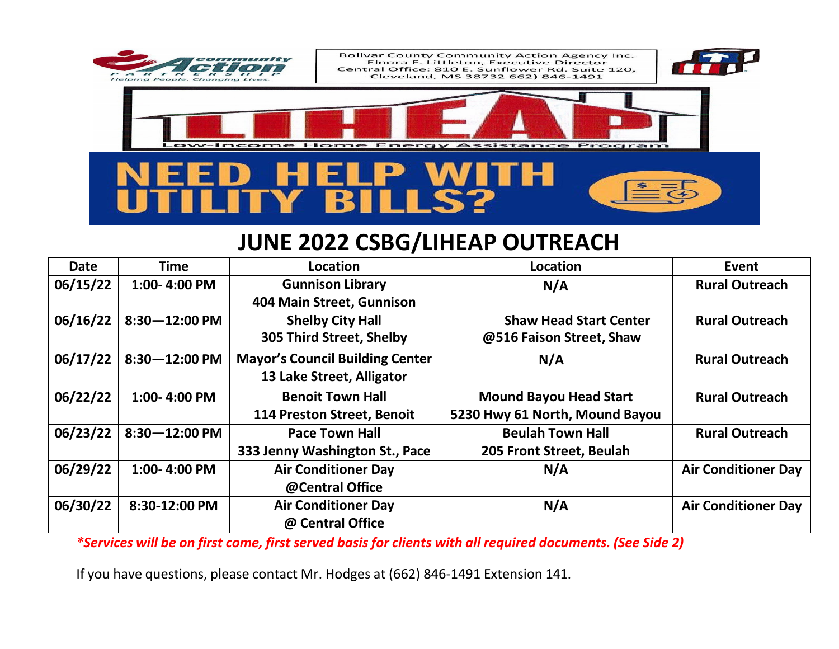

## **JUNE 2022 CSBG/LIHEAP OUTREACH**

| <b>Date</b> | <b>Time</b>       | Location                               | Location                       | Event                      |
|-------------|-------------------|----------------------------------------|--------------------------------|----------------------------|
| 06/15/22    | 1:00-4:00 PM      | <b>Gunnison Library</b>                | N/A                            | <b>Rural Outreach</b>      |
|             |                   | 404 Main Street, Gunnison              |                                |                            |
| 06/16/22    | $8:30 - 12:00$ PM | <b>Shelby City Hall</b>                | <b>Shaw Head Start Center</b>  | <b>Rural Outreach</b>      |
|             |                   | 305 Third Street, Shelby               | @516 Faison Street, Shaw       |                            |
| 06/17/22    | $8:30 - 12:00$ PM | <b>Mayor's Council Building Center</b> | N/A                            | <b>Rural Outreach</b>      |
|             |                   | 13 Lake Street, Alligator              |                                |                            |
| 06/22/22    | 1:00-4:00 PM      | <b>Benoit Town Hall</b>                | <b>Mound Bayou Head Start</b>  | <b>Rural Outreach</b>      |
|             |                   | <b>114 Preston Street, Benoit</b>      | 5230 Hwy 61 North, Mound Bayou |                            |
| 06/23/22    | $8:30 - 12:00$ PM | <b>Pace Town Hall</b>                  | <b>Beulah Town Hall</b>        | <b>Rural Outreach</b>      |
|             |                   | 333 Jenny Washington St., Pace         | 205 Front Street, Beulah       |                            |
| 06/29/22    | 1:00-4:00 PM      | <b>Air Conditioner Day</b>             | N/A                            | <b>Air Conditioner Day</b> |
|             |                   | @Central Office                        |                                |                            |
| 06/30/22    | 8:30-12:00 PM     | <b>Air Conditioner Day</b>             | N/A                            | <b>Air Conditioner Day</b> |
|             |                   | @ Central Office                       |                                |                            |

\*Services will be on first come, first served basis for clients with all required documents. (See Side 2)

If you have questions, please contact Mr. Hodges at (662) 846-1491 Extension 141.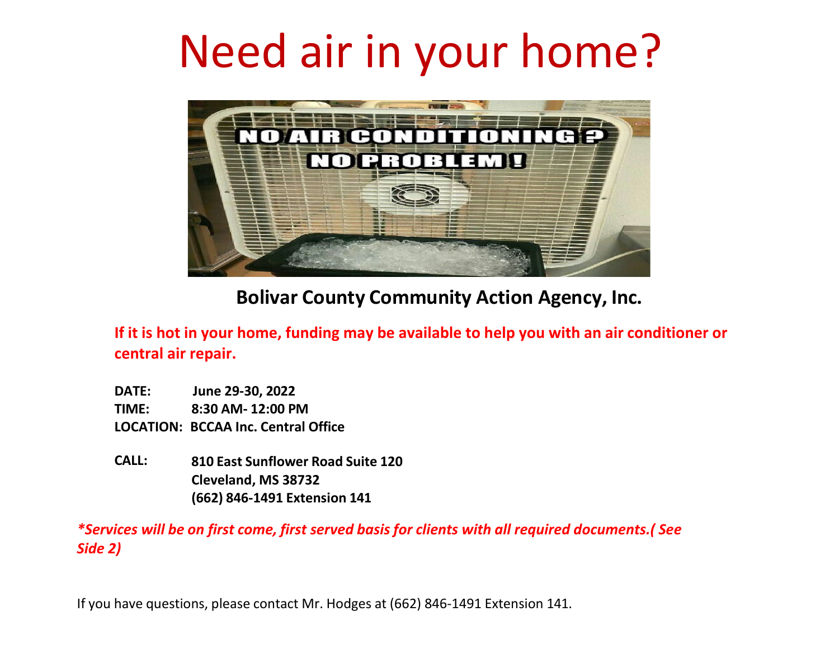## Need air in your home?



**Bolivar County Community Action Agency, Inc.**

**If it is hot in your home, funding may be available to help you with an air conditioner or central air repair.**

**DATE: June 29-30, 2022 TIME: 8:30 AM- 12:00 PM LOCATION: BCCAA Inc. Central Office**

**CALL: 810 East Sunflower Road Suite 120 Cleveland, MS 38732 (662) 846-1491 Extension 141**

*\*Services will be on first come, first served basis for clients with all required documents.( See Side 2)*

If you have questions, please contact Mr. Hodges at (662) 846-1491 Extension 141.